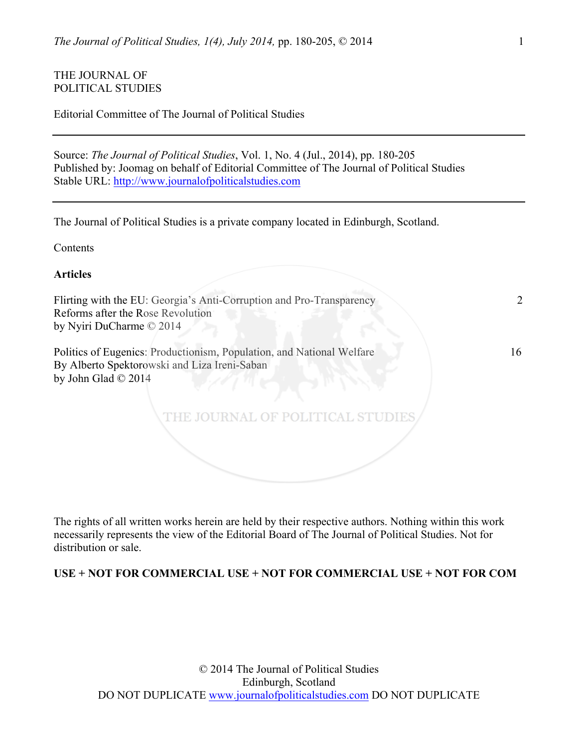# THE **JOURNAL OF** POLITICAL STUDIES

|  | Editorial Committee of The Journal of Political Studies |  |  |  |  |  |
|--|---------------------------------------------------------|--|--|--|--|--|
|--|---------------------------------------------------------|--|--|--|--|--|

Source: *The Journal of Political Studies*, Vol. 1, No. 4 (Jul., 2014), pp. 180-205 Published by: Joomag on behalf of Editorial Committee of The Journal of Political Studies Stable URL: http://www.journalofpoliticalstudies.com

The Journal of Political Studies is a private company located in Edinburgh, Scotland.

Contents

**Articles**

Flirting with the EU: Georgia's Anti-Corruption and Pro-Transparency 2 Reforms after the Rose Revolution by Nyiri DuCharme © 2014

Politics of Eugenics: Productionism, Population, and National Welfare 16 By Alberto Spektorowski and Liza Ireni-Saban by John Glad © 2014

The rights of all written works herein are held by their respective authors. Nothing within this work necessarily represents the view of the Editorial Board of The Journal of Political Studies. Not for distribution or sale.

THE JOURNAL OF POLITICAL STUDIE

**USE + NOT FOR COMMERCIAL USE + NOT FOR COMMERCIAL USE + NOT FOR COM**

© 2014 The Journal of Political Studies Edinburgh, Scotland DO NOT DUPLICATE www.journalofpoliticalstudies.com DO NOT DUPLICATE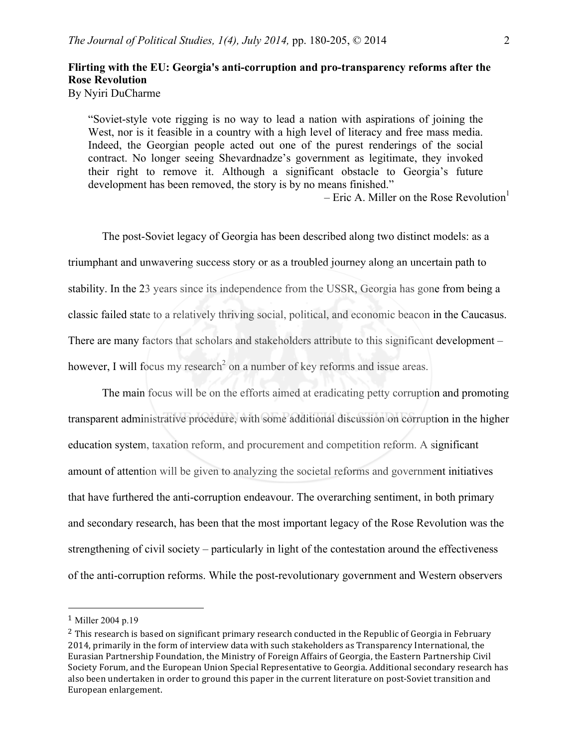# **Flirting with the EU: Georgia's anti-corruption and pro-transparency reforms after the Rose Revolution**

By Nyiri DuCharme

"Soviet-style vote rigging is no way to lead a nation with aspirations of joining the West, nor is it feasible in a country with a high level of literacy and free mass media. Indeed, the Georgian people acted out one of the purest renderings of the social contract. No longer seeing Shevardnadze's government as legitimate, they invoked their right to remove it. Although a significant obstacle to Georgia's future development has been removed, the story is by no means finished."

– Eric A. Miller on the Rose Revolution<sup>1</sup>

The post-Soviet legacy of Georgia has been described along two distinct models: as a triumphant and unwavering success story or as a troubled journey along an uncertain path to stability. In the 23 years since its independence from the USSR, Georgia has gone from being a classic failed state to a relatively thriving social, political, and economic beacon in the Caucasus. There are many factors that scholars and stakeholders attribute to this significant development – however, I will focus my research<sup>2</sup> on a number of key reforms and issue areas.

The main focus will be on the efforts aimed at eradicating petty corruption and promoting transparent administrative procedure, with some additional discussion on corruption in the higher education system, taxation reform, and procurement and competition reform. A significant amount of attention will be given to analyzing the societal reforms and government initiatives that have furthered the anti-corruption endeavour. The overarching sentiment, in both primary and secondary research, has been that the most important legacy of the Rose Revolution was the strengthening of civil society – particularly in light of the contestation around the effectiveness of the anti-corruption reforms. While the post-revolutionary government and Western observers

 

<sup>1</sup> Miller 2004 p.19

 $2$  This research is based on significant primary research conducted in the Republic of Georgia in February 2014, primarily in the form of interview data with such stakeholders as Transparency International, the Eurasian Partnership Foundation, the Ministry of Foreign Affairs of Georgia, the Eastern Partnership Civil Society Forum, and the European Union Special Representative to Georgia. Additional secondary research has also been undertaken in order to ground this paper in the current literature on post-Soviet transition and European enlargement.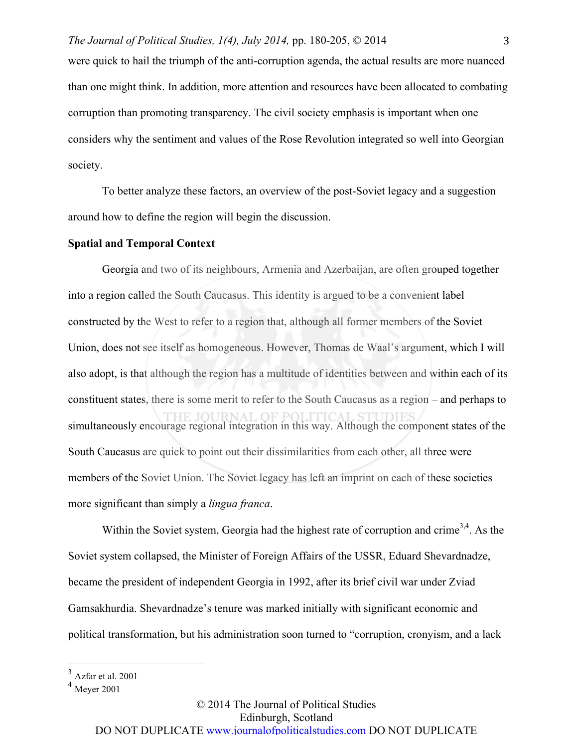were quick to hail the triumph of the anti-corruption agenda, the actual results are more nuanced than one might think. In addition, more attention and resources have been allocated to combating corruption than promoting transparency. The civil society emphasis is important when one considers why the sentiment and values of the Rose Revolution integrated so well into Georgian society.

To better analyze these factors, an overview of the post-Soviet legacy and a suggestion around how to define the region will begin the discussion.

### **Spatial and Temporal Context**

Georgia and two of its neighbours, Armenia and Azerbaijan, are often grouped together into a region called the South Caucasus. This identity is argued to be a convenient label constructed by the West to refer to a region that, although all former members of the Soviet Union, does not see itself as homogeneous. However, Thomas de Waal's argument, which I will also adopt, is that although the region has a multitude of identities between and within each of its constituent states, there is some merit to refer to the South Caucasus as a region – and perhaps to simultaneously encourage regional integration in this way. Although the component states of the South Caucasus are quick to point out their dissimilarities from each other, all three were members of the Soviet Union. The Soviet legacy has left an imprint on each of these societies more significant than simply a *lingua franca*.

Within the Soviet system, Georgia had the highest rate of corruption and crime<sup>3,4</sup>. As the Soviet system collapsed, the Minister of Foreign Affairs of the USSR, Eduard Shevardnadze, became the president of independent Georgia in 1992, after its brief civil war under Zviad Gamsakhurdia. Shevardnadze's tenure was marked initially with significant economic and political transformation, but his administration soon turned to "corruption, cronyism, and a lack

 $3$  Azfar et al. 2001

 $<sup>4</sup>$  Meyer 2001</sup>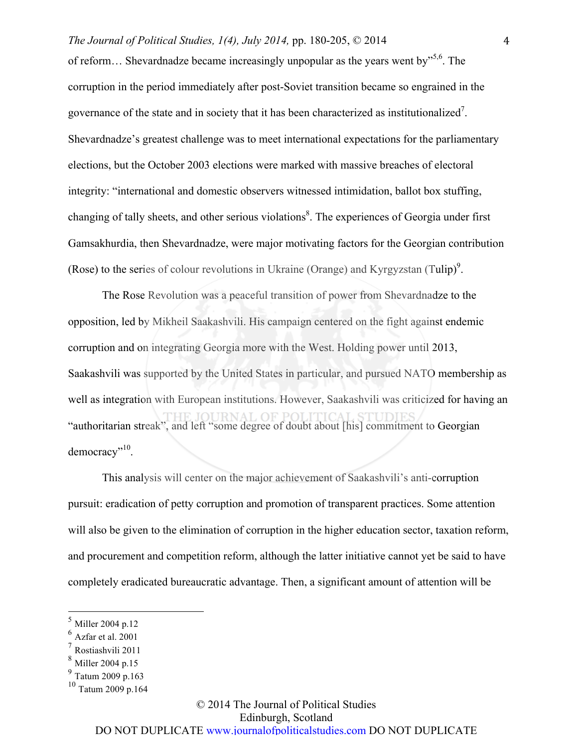### *The Journal of Political Studies, 1(4), July 2014, pp. 180-205, © 2014* 4

of reform... Shevardnadze became increasingly unpopular as the years went by<sup>5,6</sup>. The corruption in the period immediately after post-Soviet transition became so engrained in the governance of the state and in society that it has been characterized as institutionalized<sup>7</sup>. Shevardnadze's greatest challenge was to meet international expectations for the parliamentary elections, but the October 2003 elections were marked with massive breaches of electoral integrity: "international and domestic observers witnessed intimidation, ballot box stuffing, changing of tally sheets, and other serious violations<sup>8</sup>. The experiences of Georgia under first Gamsakhurdia, then Shevardnadze, were major motivating factors for the Georgian contribution (Rose) to the series of colour revolutions in Ukraine (Orange) and Kyrgyzstan (Tulip)<sup>9</sup>.

The Rose Revolution was a peaceful transition of power from Shevardnadze to the opposition, led by Mikheil Saakashvili. His campaign centered on the fight against endemic corruption and on integrating Georgia more with the West. Holding power until 2013, Saakashvili was supported by the United States in particular, and pursued NATO membership as well as integration with European institutions. However, Saakashvili was criticized for having an "authoritarian streak", and left "some degree of doubt about [his] commitment to Georgian democracy"<sup>10</sup>.

This analysis will center on the major achievement of Saakashvili's anti-corruption pursuit: eradication of petty corruption and promotion of transparent practices. Some attention will also be given to the elimination of corruption in the higher education sector, taxation reform, and procurement and competition reform, although the latter initiative cannot yet be said to have completely eradicated bureaucratic advantage. Then, a significant amount of attention will be

### © 2014 The Journal of Political Studies Edinburgh, Scotland DO NOT DUPLICATE www.journalofpoliticalstudies.com DO NOT DUPLICATE

Miller 2004 p.12

 $6 \overline{\text{Az}}$ far et al. 2001

<sup>7</sup> Rostiashvili 2011

Miller 2004 p.15

 $^{9}$  Tatum 2009 p.163

 $10$  Tatum 2009 p.164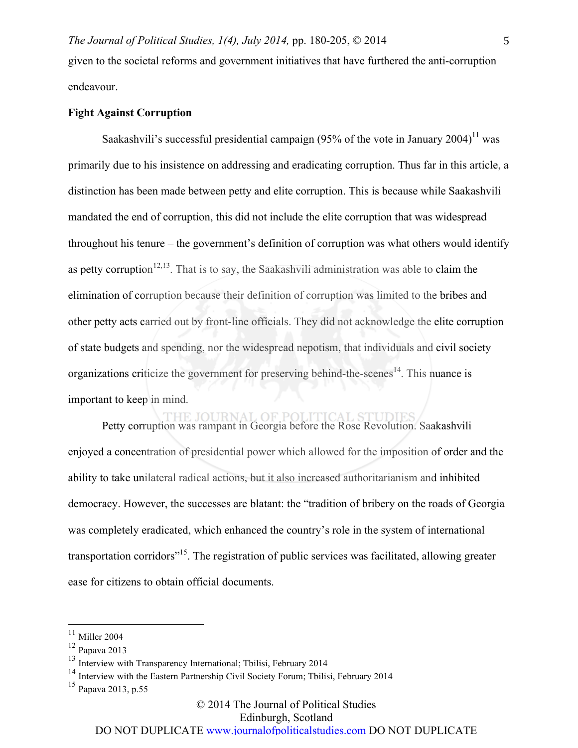given to the societal reforms and government initiatives that have furthered the anti-corruption endeavour.

### **Fight Against Corruption**

Saakashvili's successful presidential campaign (95% of the vote in January 2004)<sup>11</sup> was primarily due to his insistence on addressing and eradicating corruption. Thus far in this article, a distinction has been made between petty and elite corruption. This is because while Saakashvili mandated the end of corruption, this did not include the elite corruption that was widespread throughout his tenure – the government's definition of corruption was what others would identify as petty corruption<sup>12,13</sup>. That is to say, the Saakashvili administration was able to claim the elimination of corruption because their definition of corruption was limited to the bribes and other petty acts carried out by front-line officials. They did not acknowledge the elite corruption of state budgets and spending, nor the widespread nepotism, that individuals and civil society organizations criticize the government for preserving behind-the-scenes<sup>14</sup>. This nuance is important to keep in mind.

Petty corruption was rampant in Georgia before the Rose Revolution. Saakashvili enjoyed a concentration of presidential power which allowed for the imposition of order and the ability to take unilateral radical actions, but it also increased authoritarianism and inhibited democracy. However, the successes are blatant: the "tradition of bribery on the roads of Georgia was completely eradicated, which enhanced the country's role in the system of international transportation corridors"15. The registration of public services was facilitated, allowing greater ease for citizens to obtain official documents.

# © 2014 The Journal of Political Studies

Edinburgh, Scotland

 $^{11}$  Miller 2004  $\,$ 

<sup>12</sup> Papava 2013

<sup>&</sup>lt;sup>13</sup> Interview with Transparency International; Tbilisi, February 2014

<sup>&</sup>lt;sup>14</sup> Interview with the Eastern Partnership Civil Society Forum; Tbilisi, February 2014

<sup>15</sup> Papava 2013, p.55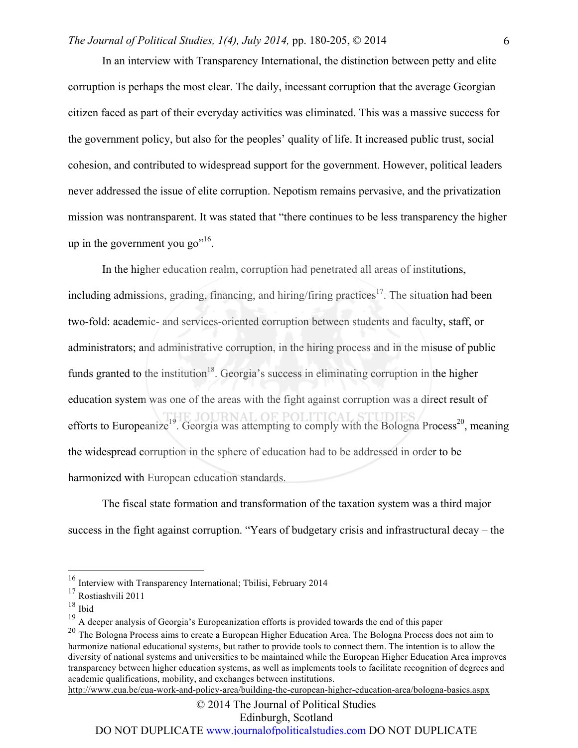In an interview with Transparency International, the distinction between petty and elite corruption is perhaps the most clear. The daily, incessant corruption that the average Georgian citizen faced as part of their everyday activities was eliminated. This was a massive success for the government policy, but also for the peoples' quality of life. It increased public trust, social cohesion, and contributed to widespread support for the government. However, political leaders never addressed the issue of elite corruption. Nepotism remains pervasive, and the privatization mission was nontransparent. It was stated that "there continues to be less transparency the higher up in the government you go"<sup>16</sup>.

In the higher education realm, corruption had penetrated all areas of institutions, including admissions, grading, financing, and hiring/firing practices<sup>17</sup>. The situation had been two-fold: academic- and services-oriented corruption between students and faculty, staff, or administrators; and administrative corruption, in the hiring process and in the misuse of public funds granted to the institution<sup>18</sup>. Georgia's success in eliminating corruption in the higher education system was one of the areas with the fight against corruption was a direct result of efforts to Europeanize<sup>19</sup>. Georgia was attempting to comply with the Bologna Process<sup>20</sup>, meaning the widespread corruption in the sphere of education had to be addressed in order to be harmonized with European education standards.

The fiscal state formation and transformation of the taxation system was a third major success in the fight against corruption. "Years of budgetary crisis and infrastructural decay – the

http://www.eua.be/eua-work-and-policy-area/building-the-european-higher-education-area/bologna-basics.aspx

 <sup>16</sup> Interview with Transparency International; Tbilisi, February 2014

<sup>17</sup> Rostiashvili 2011

 $^{18}$  Ibid

<sup>&</sup>lt;sup>19</sup> A deeper analysis of Georgia's Europeanization efforts is provided towards the end of this paper

<sup>&</sup>lt;sup>20</sup> The Bologna Process aims to create a European Higher Education Area. The Bologna Process does not aim to harmonize national educational systems, but rather to provide tools to connect them. The intention is to allow the diversity of national systems and universities to be maintained while the European Higher Education Area improves transparency between higher education systems, as well as implements tools to facilitate recognition of degrees and academic qualifications, mobility, and exchanges between institutions.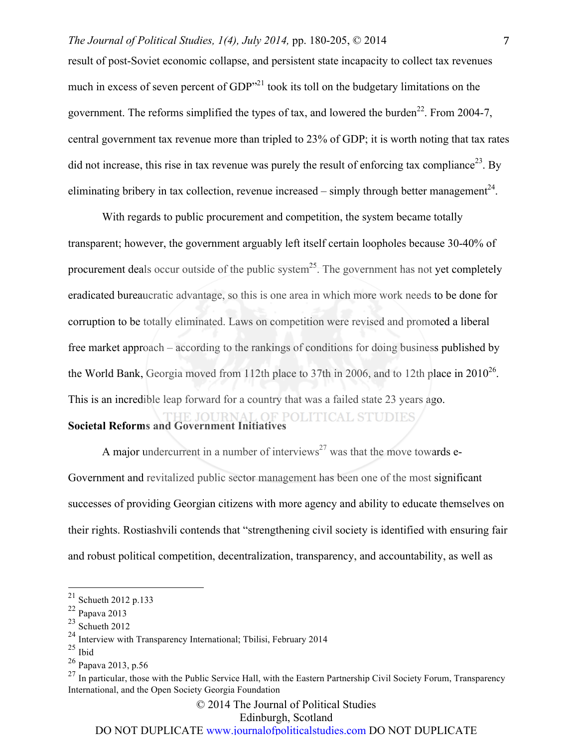### *The Journal of Political Studies, 1(4), July 2014, pp. 180-205,*  $\circ$  *2014* 7

result of post-Soviet economic collapse, and persistent state incapacity to collect tax revenues much in excess of seven percent of GDP<sup>"21</sup> took its toll on the budgetary limitations on the government. The reforms simplified the types of tax, and lowered the burden<sup>22</sup>. From 2004-7, central government tax revenue more than tripled to 23% of GDP; it is worth noting that tax rates did not increase, this rise in tax revenue was purely the result of enforcing tax compliance<sup>23</sup>. By eliminating bribery in tax collection, revenue increased – simply through better management<sup>24</sup>.

With regards to public procurement and competition, the system became totally transparent; however, the government arguably left itself certain loopholes because 30-40% of procurement deals occur outside of the public system<sup>25</sup>. The government has not yet completely eradicated bureaucratic advantage, so this is one area in which more work needs to be done for corruption to be totally eliminated. Laws on competition were revised and promoted a liberal free market approach – according to the rankings of conditions for doing business published by the World Bank, Georgia moved from 112th place to 37th in 2006, and to 12th place in 2010<sup>26</sup>. This is an incredible leap forward for a country that was a failed state 23 years ago.

# **Societal Reforms and Government Initiatives**

A major undercurrent in a number of interviews<sup>27</sup> was that the move towards e-Government and revitalized public sector management has been one of the most significant successes of providing Georgian citizens with more agency and ability to educate themselves on their rights. Rostiashvili contends that "strengthening civil society is identified with ensuring fair and robust political competition, decentralization, transparency, and accountability, as well as

© 2014 The Journal of Political Studies

Edinburgh, Scotland

 <sup>21</sup> Schueth 2012 p.133

<sup>22</sup> Papava 2013

 $23$  Schueth 2012

<sup>&</sup>lt;sup>24</sup> Interview with Transparency International; Tbilisi, February 2014

 $25$  Ibid

<sup>26</sup> Papava 2013, p.56

 $^{27}$  In particular, those with the Public Service Hall, with the Eastern Partnership Civil Society Forum, Transparency International, and the Open Society Georgia Foundation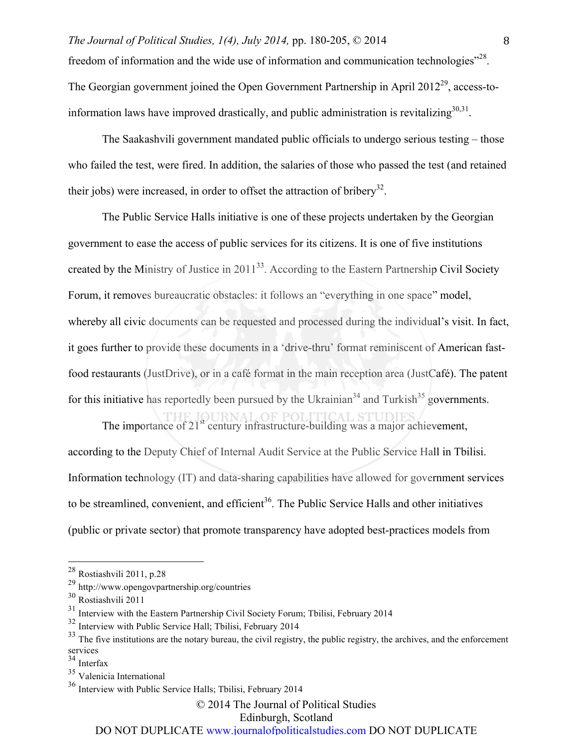freedom of information and the wide use of information and communication technologies<sup>"28</sup>. The Georgian government joined the Open Government Partnership in April  $2012^{29}$ , access-toinformation laws have improved drastically, and public administration is revitalizing  $30,31$ .

The Saakashvili government mandated public officials to undergo serious testing – those who failed the test, were fired. In addition, the salaries of those who passed the test (and retained their jobs) were increased, in order to offset the attraction of bribery<sup>32</sup>.

The Public Service Halls initiative is one of these projects undertaken by the Georgian government to ease the access of public services for its citizens. It is one of five institutions created by the Ministry of Justice in 2011<sup>33</sup>. According to the Eastern Partnership Civil Society Forum, it removes bureaucratic obstacles: it follows an "everything in one space" model, whereby all civic documents can be requested and processed during the individual's visit. In fact, it goes further to provide these documents in a 'drive-thru' format reminiscent of American fastfood restaurants (JustDrive), or in a café format in the main reception area (JustCafé). The patent for this initiative has reportedly been pursued by the Ukrainian<sup>34</sup> and Turkish<sup>35</sup> governments.

The importance of  $21<sup>st</sup>$  century infrastructure-building was a major achievement, according to the Deputy Chief of Internal Audit Service at the Public Service Hall in Tbilisi. Information technology (IT) and data-sharing capabilities have allowed for government services to be streamlined, convenient, and efficient<sup>36</sup>. The Public Service Halls and other initiatives (public or private sector) that promote transparency have adopted best-practices models from

 $34$  Interfax

© 2014 The Journal of Political Studies

Edinburgh, Scotland

 <sup>28</sup> Rostiashvili 2011, p.28

<sup>29</sup> http://www.opengovpartnership.org/countries

<sup>30</sup> Rostiashvili 2011

<sup>&</sup>lt;sup>31</sup> Interview with the Eastern Partnership Civil Society Forum; Tbilisi, February 2014

<sup>32</sup> Interview with Public Service Hall; Tbilisi, February 2014

<sup>&</sup>lt;sup>33</sup> The five institutions are the notary bureau, the civil registry, the public registry, the archives, and the enforcement services

<sup>35</sup> Valenicia International

<sup>36</sup> Interview with Public Service Halls; Tbilisi, February 2014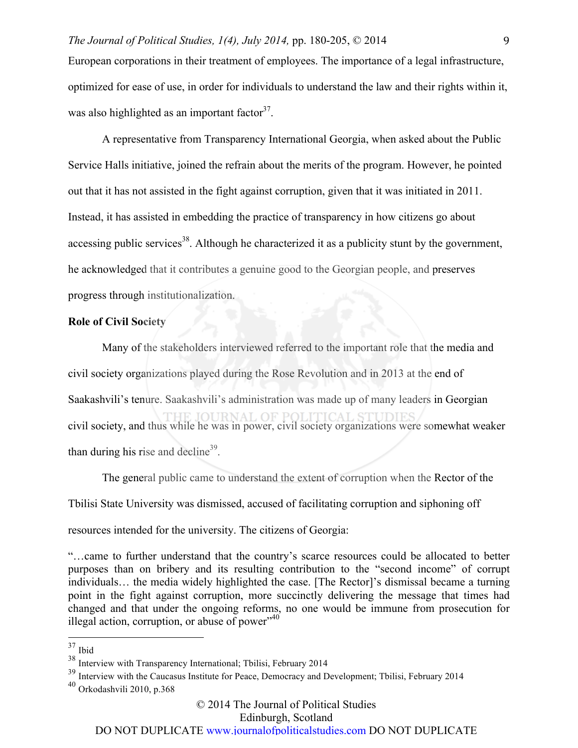European corporations in their treatment of employees. The importance of a legal infrastructure, optimized for ease of use, in order for individuals to understand the law and their rights within it, was also highlighted as an important factor  $37$ .

A representative from Transparency International Georgia, when asked about the Public Service Halls initiative, joined the refrain about the merits of the program. However, he pointed out that it has not assisted in the fight against corruption, given that it was initiated in 2011. Instead, it has assisted in embedding the practice of transparency in how citizens go about accessing public services<sup>38</sup>. Although he characterized it as a publicity stunt by the government, he acknowledged that it contributes a genuine good to the Georgian people, and preserves progress through institutionalization.

### **Role of Civil Society**

Many of the stakeholders interviewed referred to the important role that the media and civil society organizations played during the Rose Revolution and in 2013 at the end of Saakashvili's tenure. Saakashvili's administration was made up of many leaders in Georgian civil society, and thus while he was in power, civil society organizations were somewhat weaker than during his rise and decline<sup>39</sup>.

The general public came to understand the extent of corruption when the Rector of the Tbilisi State University was dismissed, accused of facilitating corruption and siphoning off resources intended for the university. The citizens of Georgia:

"…came to further understand that the country's scarce resources could be allocated to better purposes than on bribery and its resulting contribution to the "second income" of corrupt individuals… the media widely highlighted the case. [The Rector]'s dismissal became a turning point in the fight against corruption, more succinctly delivering the message that times had changed and that under the ongoing reforms, no one would be immune from prosecution for illegal action, corruption, or abuse of power" $40$ 

Edinburgh, Scotland

 <sup>37</sup> Ibid

<sup>38</sup> Interview with Transparency International; Tbilisi, February 2014

<sup>&</sup>lt;sup>39</sup> Interview with the Caucasus Institute for Peace, Democracy and Development; Tbilisi, February 2014

 $40$  Orkodashvili 2010, p.368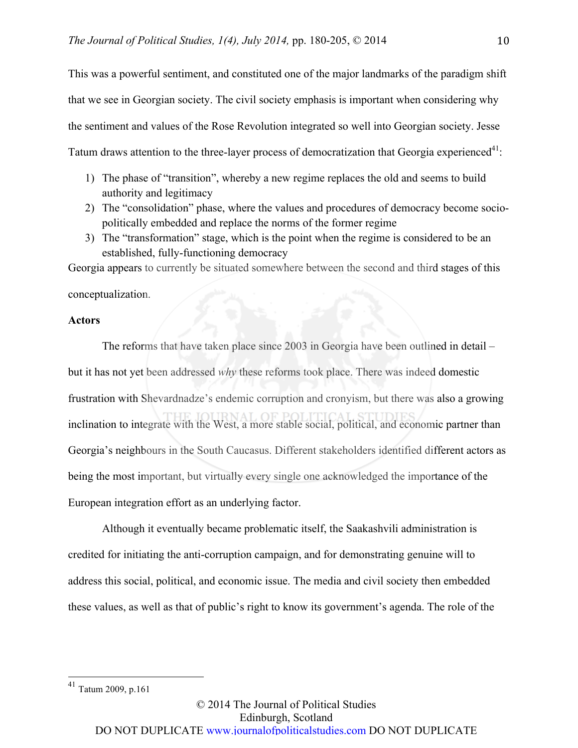This was a powerful sentiment, and constituted one of the major landmarks of the paradigm shift that we see in Georgian society. The civil society emphasis is important when considering why the sentiment and values of the Rose Revolution integrated so well into Georgian society. Jesse Tatum draws attention to the three-layer process of democratization that Georgia experienced<sup>41</sup>:

- 1) The phase of "transition", whereby a new regime replaces the old and seems to build authority and legitimacy
- 2) The "consolidation" phase, where the values and procedures of democracy become sociopolitically embedded and replace the norms of the former regime
- 3) The "transformation" stage, which is the point when the regime is considered to be an established, fully-functioning democracy

Georgia appears to currently be situated somewhere between the second and third stages of this conceptualization.

### **Actors**

The reforms that have taken place since 2003 in Georgia have been outlined in detail – but it has not yet been addressed *why* these reforms took place. There was indeed domestic frustration with Shevardnadze's endemic corruption and cronyism, but there was also a growing inclination to integrate with the West, a more stable social, political, and economic partner than Georgia's neighbours in the South Caucasus. Different stakeholders identified different actors as being the most important, but virtually every single one acknowledged the importance of the European integration effort as an underlying factor.

Although it eventually became problematic itself, the Saakashvili administration is credited for initiating the anti-corruption campaign, and for demonstrating genuine will to address this social, political, and economic issue. The media and civil society then embedded these values, as well as that of public's right to know its government's agenda. The role of the

 <sup>41</sup> Tatum 2009, p.161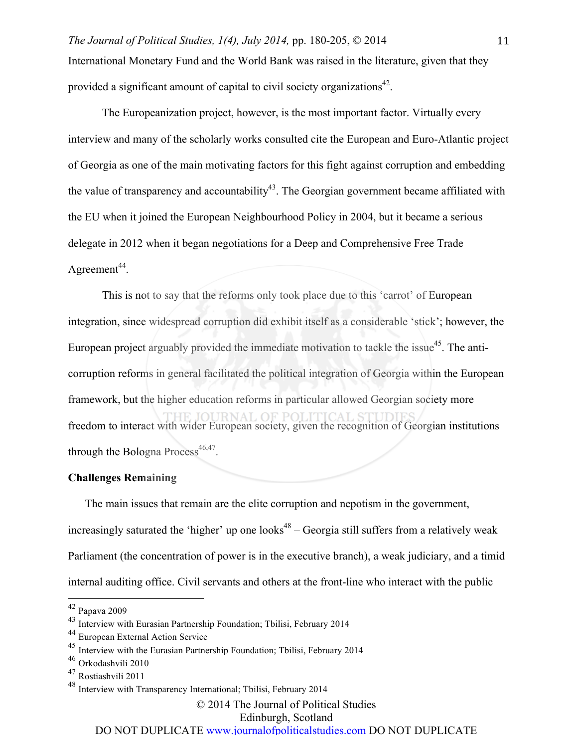*The Journal of Political Studies, 1(4), July 2014, pp. 180-205, © 2014* 11 International Monetary Fund and the World Bank was raised in the literature, given that they provided a significant amount of capital to civil society organizations<sup>42</sup>.

The Europeanization project, however, is the most important factor. Virtually every interview and many of the scholarly works consulted cite the European and Euro-Atlantic project of Georgia as one of the main motivating factors for this fight against corruption and embedding the value of transparency and accountability<sup>43</sup>. The Georgian government became affiliated with the EU when it joined the European Neighbourhood Policy in 2004, but it became a serious delegate in 2012 when it began negotiations for a Deep and Comprehensive Free Trade Agreement<sup>44</sup>.

This is not to say that the reforms only took place due to this 'carrot' of European integration, since widespread corruption did exhibit itself as a considerable 'stick'; however, the European project arguably provided the immediate motivation to tackle the issue<sup>45</sup>. The anticorruption reforms in general facilitated the political integration of Georgia within the European framework, but the higher education reforms in particular allowed Georgian society more freedom to interact with wider European society, given the recognition of Georgian institutions through the Bologna Process<sup>46,47</sup>.

## **Challenges Remaining**

The main issues that remain are the elite corruption and nepotism in the government, increasingly saturated the 'higher' up one looks<sup>48</sup> – Georgia still suffers from a relatively weak Parliament (the concentration of power is in the executive branch), a weak judiciary, and a timid internal auditing office. Civil servants and others at the front-line who interact with the public

© 2014 The Journal of Political Studies

Edinburgh, Scotland

 <sup>42</sup> Papava 2009

<sup>&</sup>lt;sup>43</sup> Interview with Eurasian Partnership Foundation; Tbilisi, February 2014

<sup>44</sup> European External Action Service

<sup>&</sup>lt;sup>45</sup> Interview with the Eurasian Partnership Foundation; Tbilisi, February 2014

<sup>46</sup> Orkodashvili 2010

<sup>47</sup> Rostiashvili 2011

<sup>48</sup> Interview with Transparency International; Tbilisi, February 2014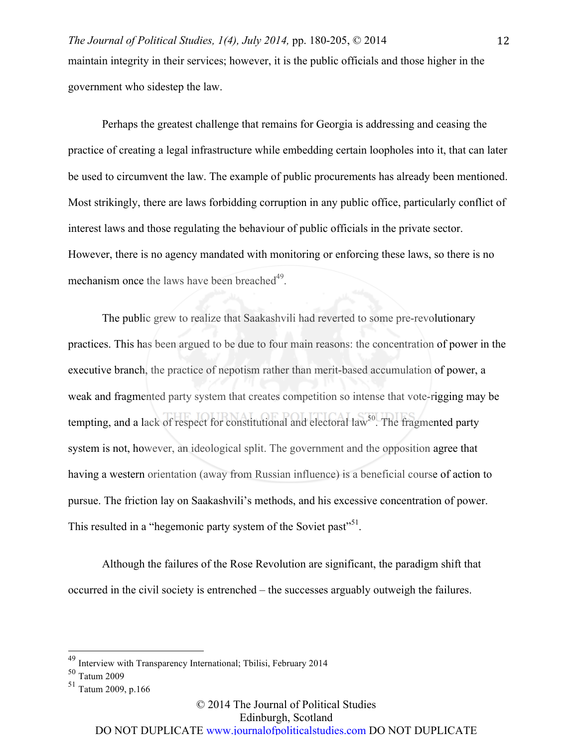Perhaps the greatest challenge that remains for Georgia is addressing and ceasing the practice of creating a legal infrastructure while embedding certain loopholes into it, that can later be used to circumvent the law. The example of public procurements has already been mentioned. Most strikingly, there are laws forbidding corruption in any public office, particularly conflict of interest laws and those regulating the behaviour of public officials in the private sector. However, there is no agency mandated with monitoring or enforcing these laws, so there is no mechanism once the laws have been breached<sup>49</sup>.

The public grew to realize that Saakashvili had reverted to some pre-revolutionary practices. This has been argued to be due to four main reasons: the concentration of power in the executive branch, the practice of nepotism rather than merit-based accumulation of power, a weak and fragmented party system that creates competition so intense that vote-rigging may be tempting, and a lack of respect for constitutional and electoral law<sup>50</sup>. The fragmented party system is not, however, an ideological split. The government and the opposition agree that having a western orientation (away from Russian influence) is a beneficial course of action to pursue. The friction lay on Saakashvili's methods, and his excessive concentration of power. This resulted in a "hegemonic party system of the Soviet past"<sup>51</sup>.

Although the failures of the Rose Revolution are significant, the paradigm shift that occurred in the civil society is entrenched – the successes arguably outweigh the failures.

 <sup>49</sup> Interview with Transparency International; Tbilisi, February 2014

<sup>50</sup> Tatum 2009

 $51$  Tatum 2009, p.166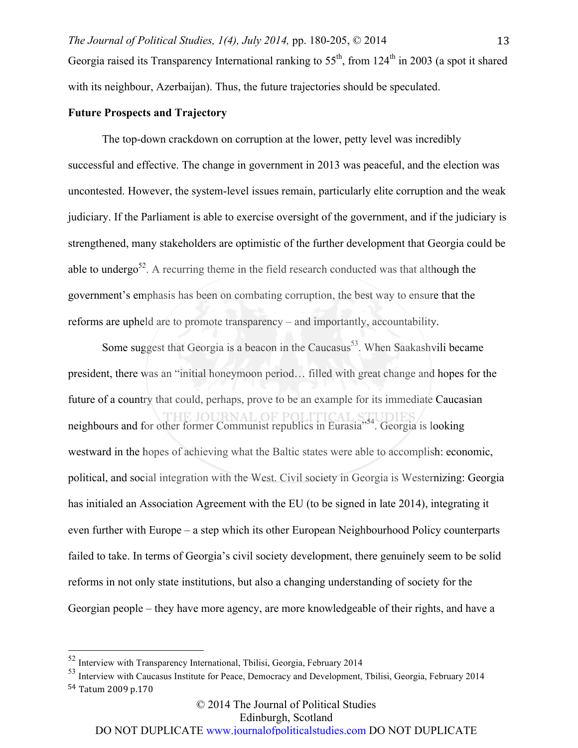# **Future Prospects and Trajectory**

The top-down crackdown on corruption at the lower, petty level was incredibly successful and effective. The change in government in 2013 was peaceful, and the election was uncontested. However, the system-level issues remain, particularly elite corruption and the weak judiciary. If the Parliament is able to exercise oversight of the government, and if the judiciary is strengthened, many stakeholders are optimistic of the further development that Georgia could be able to undergo<sup>52</sup>. A recurring theme in the field research conducted was that although the government's emphasis has been on combating corruption, the best way to ensure that the reforms are upheld are to promote transparency – and importantly, accountability.

Some suggest that Georgia is a beacon in the Caucasus<sup>53</sup>. When Saakashvili became president, there was an "initial honeymoon period… filled with great change and hopes for the future of a country that could, perhaps, prove to be an example for its immediate Caucasian neighbours and for other former Communist republics in Eurasia<sup>554</sup>. Georgia is looking westward in the hopes of achieving what the Baltic states were able to accomplish: economic, political, and social integration with the West. Civil society in Georgia is Westernizing: Georgia has initialed an Association Agreement with the EU (to be signed in late 2014), integrating it even further with Europe – a step which its other European Neighbourhood Policy counterparts failed to take. In terms of Georgia's civil society development, there genuinely seem to be solid reforms in not only state institutions, but also a changing understanding of society for the Georgian people – they have more agency, are more knowledgeable of their rights, and have a

Edinburgh, Scotland

 <sup>52</sup> Interview with Transparency International, Tbilisi, Georgia, February 2014

<sup>53</sup> Interview with Caucasus Institute for Peace, Democracy and Development, Tbilisi, Georgia, February 2014 54 Tatum 2009 p.170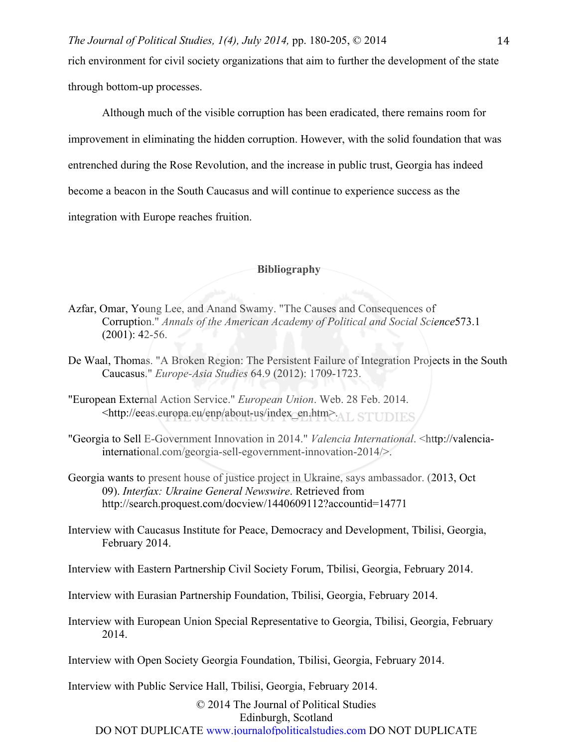Although much of the visible corruption has been eradicated, there remains room for improvement in eliminating the hidden corruption. However, with the solid foundation that was entrenched during the Rose Revolution, and the increase in public trust, Georgia has indeed become a beacon in the South Caucasus and will continue to experience success as the integration with Europe reaches fruition.

### **Bibliography**

- Azfar, Omar, Young Lee, and Anand Swamy. "The Causes and Consequences of Corruption." *Annals of the American Academy of Political and Social Science*573.1 (2001): 42-56.
- De Waal, Thomas. "A Broken Region: The Persistent Failure of Integration Projects in the South Caucasus." *Europe-Asia Studies* 64.9 (2012): 1709-1723.
- "European External Action Service." *European Union*. Web. 28 Feb. 2014. <http://eeas.europa.eu/enp/about-us/index\_en.htm>.ALSTUDIES.
- "Georgia to Sell E-Government Innovation in 2014." *Valencia International*. <http://valenciainternational.com/georgia-sell-egovernment-innovation-2014/>.
- Georgia wants to present house of justice project in Ukraine, says ambassador. (2013, Oct 09). *Interfax: Ukraine General Newswire*. Retrieved from http://search.proquest.com/docview/1440609112?accountid=14771
- Interview with Caucasus Institute for Peace, Democracy and Development, Tbilisi, Georgia, February 2014.
- Interview with Eastern Partnership Civil Society Forum, Tbilisi, Georgia, February 2014.
- Interview with Eurasian Partnership Foundation, Tbilisi, Georgia, February 2014.
- Interview with European Union Special Representative to Georgia, Tbilisi, Georgia, February 2014.
- Interview with Open Society Georgia Foundation, Tbilisi, Georgia, February 2014.

Interview with Public Service Hall, Tbilisi, Georgia, February 2014.

© 2014 The Journal of Political Studies Edinburgh, Scotland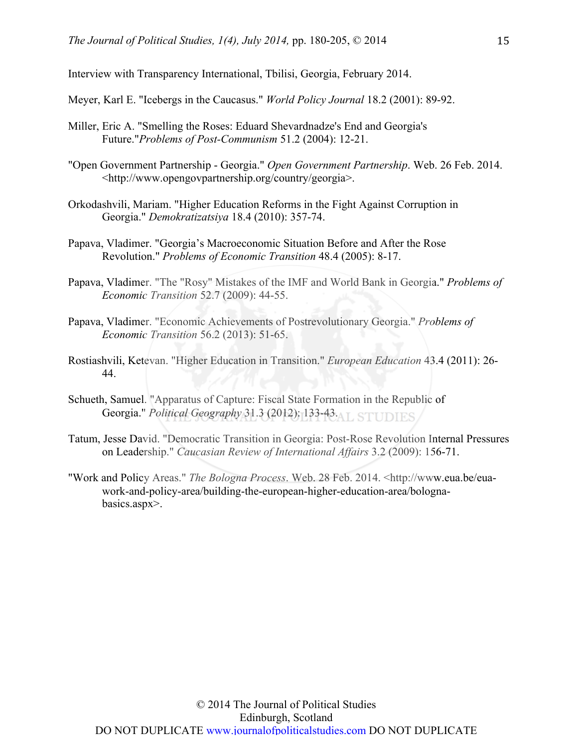Interview with Transparency International, Tbilisi, Georgia, February 2014.

Meyer, Karl E. "Icebergs in the Caucasus." *World Policy Journal* 18.2 (2001): 89-92.

- Miller, Eric A. "Smelling the Roses: Eduard Shevardnadze's End and Georgia's Future."*Problems of Post-Communism* 51.2 (2004): 12-21.
- "Open Government Partnership Georgia." *Open Government Partnership*. Web. 26 Feb. 2014. <http://www.opengovpartnership.org/country/georgia>.
- Orkodashvili, Mariam. "Higher Education Reforms in the Fight Against Corruption in Georgia." *Demokratizatsiya* 18.4 (2010): 357-74.
- Papava, Vladimer. "Georgia's Macroeconomic Situation Before and After the Rose Revolution." *Problems of Economic Transition* 48.4 (2005): 8-17.
- Papava, Vladimer. "The "Rosy" Mistakes of the IMF and World Bank in Georgia." *Problems of Economic Transition* 52.7 (2009): 44-55.
- Papava, Vladimer. "Economic Achievements of Postrevolutionary Georgia." *Problems of Economic Transition* 56.2 (2013): 51-65.
- Rostiashvili, Ketevan. "Higher Education in Transition." *European Education* 43.4 (2011): 26- 44.
- Schueth, Samuel. "Apparatus of Capture: Fiscal State Formation in the Republic of Georgia." *Political Geography* 31.3 (2012): 133-43.
- Tatum, Jesse David. "Democratic Transition in Georgia: Post-Rose Revolution Internal Pressures on Leadership." *Caucasian Review of International Affairs* 3.2 (2009): 156-71.
- "Work and Policy Areas." *The Bologna Process*. Web. 28 Feb. 2014. <http://www.eua.be/euawork-and-policy-area/building-the-european-higher-education-area/bolognabasics.aspx>.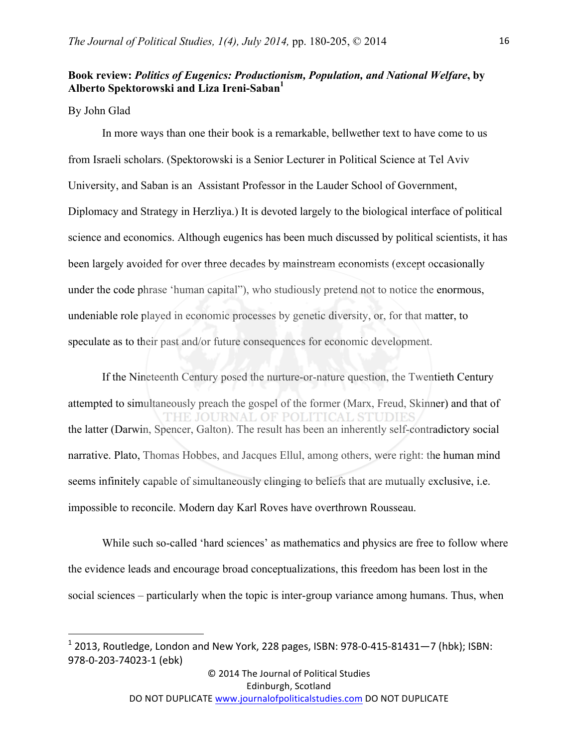# **Book review:** *Politics of Eugenics: Productionism, Population, and National Welfare***, by Alberto Spektorowski and Liza Ireni-Saban1**

### By John Glad

<u> 1989 - Johann Stein, fransk politik (d. 1989)</u>

In more ways than one their book is a remarkable, bellwether text to have come to us from Israeli scholars. (Spektorowski is a Senior Lecturer in Political Science at Tel Aviv University, and Saban is an Assistant Professor in the Lauder School of Government, Diplomacy and Strategy in Herzliya.) It is devoted largely to the biological interface of political science and economics. Although eugenics has been much discussed by political scientists, it has been largely avoided for over three decades by mainstream economists (except occasionally under the code phrase 'human capital"), who studiously pretend not to notice the enormous, undeniable role played in economic processes by genetic diversity, or, for that matter, to speculate as to their past and/or future consequences for economic development.

If the Nineteenth Century posed the nurture-or-nature question, the Twentieth Century attempted to simultaneously preach the gospel of the former (Marx, Freud, Skinner) and that of THE JOURNAL OF POLITICAL STUDIE the latter (Darwin, Spencer, Galton). The result has been an inherently self-contradictory social narrative. Plato, Thomas Hobbes, and Jacques Ellul, among others, were right: the human mind seems infinitely capable of simultaneously clinging to beliefs that are mutually exclusive, i.e. impossible to reconcile. Modern day Karl Roves have overthrown Rousseau.

While such so-called 'hard sciences' as mathematics and physics are free to follow where the evidence leads and encourage broad conceptualizations, this freedom has been lost in the social sciences – particularly when the topic is inter-group variance among humans. Thus, when

© 2014 The Journal of Political Studies Edinburgh, Scotland

 $1$  2013, Routledge, London and New York, 228 pages, ISBN: 978-0-415-81431—7 (hbk); ISBN: 978-0-203-74023-1 (ebk)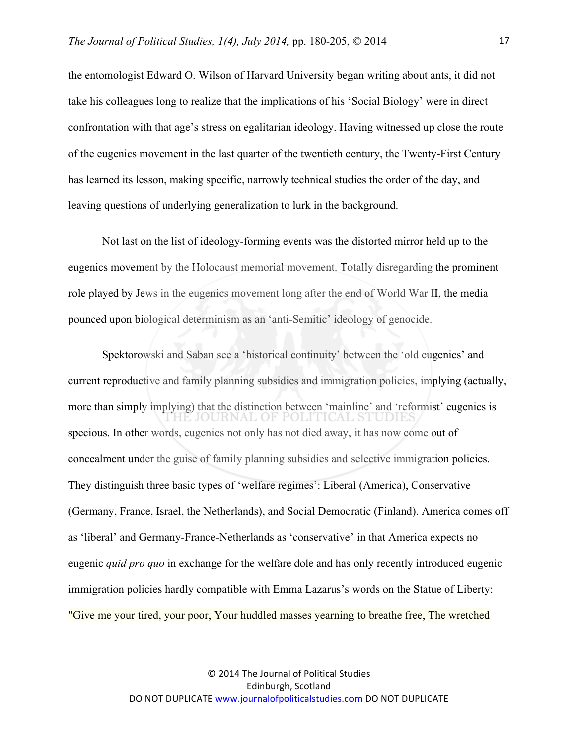the entomologist Edward O. Wilson of Harvard University began writing about ants, it did not take his colleagues long to realize that the implications of his 'Social Biology' were in direct confrontation with that age's stress on egalitarian ideology. Having witnessed up close the route of the eugenics movement in the last quarter of the twentieth century, the Twenty-First Century has learned its lesson, making specific, narrowly technical studies the order of the day, and leaving questions of underlying generalization to lurk in the background.

Not last on the list of ideology-forming events was the distorted mirror held up to the eugenics movement by the Holocaust memorial movement. Totally disregarding the prominent role played by Jews in the eugenics movement long after the end of World War II, the media pounced upon biological determinism as an 'anti-Semitic' ideology of genocide.

Spektorowski and Saban see a 'historical continuity' between the 'old eugenics' and current reproductive and family planning subsidies and immigration policies, implying (actually, more than simply implying) that the distinction between 'mainline' and 'reformist' eugenics is IE JOURNAL OF POLITICAL STUDIE specious. In other words, eugenics not only has not died away, it has now come out of concealment under the guise of family planning subsidies and selective immigration policies. They distinguish three basic types of 'welfare regimes': Liberal (America), Conservative (Germany, France, Israel, the Netherlands), and Social Democratic (Finland). America comes off as 'liberal' and Germany-France-Netherlands as 'conservative' in that America expects no eugenic *quid pro quo* in exchange for the welfare dole and has only recently introduced eugenic immigration policies hardly compatible with Emma Lazarus's words on the Statue of Liberty: "Give me your tired, your poor, Your huddled masses yearning to breathe free, The wretched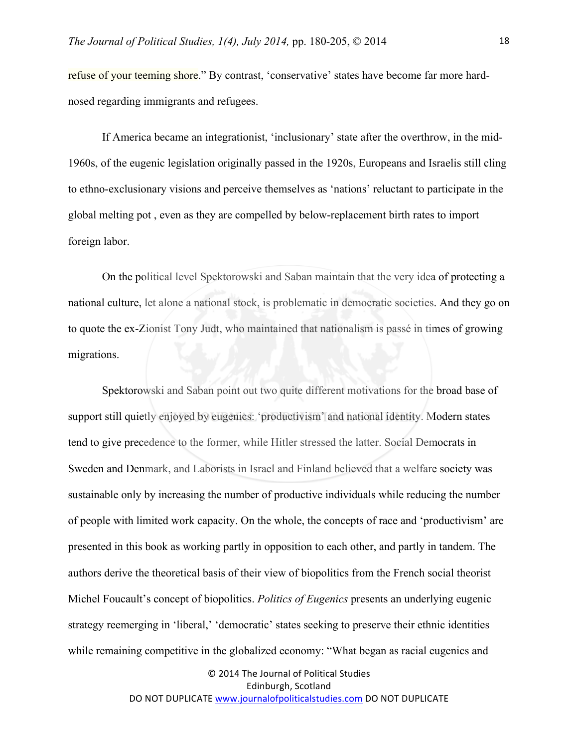refuse of your teeming shore." By contrast, 'conservative' states have become far more hardnosed regarding immigrants and refugees.

If America became an integrationist, 'inclusionary' state after the overthrow, in the mid-1960s, of the eugenic legislation originally passed in the 1920s, Europeans and Israelis still cling to ethno-exclusionary visions and perceive themselves as 'nations' reluctant to participate in the global melting pot , even as they are compelled by below-replacement birth rates to import foreign labor.

On the political level Spektorowski and Saban maintain that the very idea of protecting a national culture, let alone a national stock, is problematic in democratic societies. And they go on to quote the ex-Zionist Tony Judt, who maintained that nationalism is passé in times of growing migrations.

Spektorowski and Saban point out two quite different motivations for the broad base of support still quietly enjoyed by eugenics: 'productivism' and national identity. Modern states tend to give precedence to the former, while Hitler stressed the latter. Social Democrats in Sweden and Denmark, and Laborists in Israel and Finland believed that a welfare society was sustainable only by increasing the number of productive individuals while reducing the number of people with limited work capacity. On the whole, the concepts of race and 'productivism' are presented in this book as working partly in opposition to each other, and partly in tandem. The authors derive the theoretical basis of their view of biopolitics from the French social theorist Michel Foucault's concept of biopolitics. *Politics of Eugenics* presents an underlying eugenic strategy reemerging in 'liberal,' 'democratic' states seeking to preserve their ethnic identities while remaining competitive in the globalized economy: "What began as racial eugenics and

> © 2014 The Journal of Political Studies Edinburgh, Scotland DO NOT DUPLICATE www.journalofpoliticalstudies.com DO NOT DUPLICATE